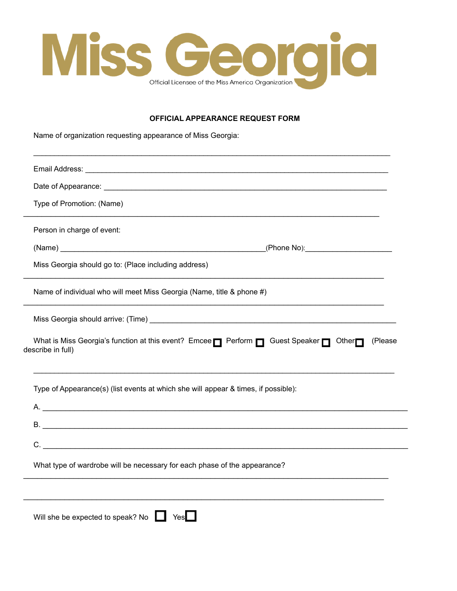

## **OFFICIAL APPEARANCE REQUEST FORM**

Name of organization requesting appearance of Miss Georgia:

| Email Address: Universe and Address and Address and Address and Address and Address and Address and Address and        |
|------------------------------------------------------------------------------------------------------------------------|
|                                                                                                                        |
| Type of Promotion: (Name)                                                                                              |
| Person in charge of event:                                                                                             |
|                                                                                                                        |
| Miss Georgia should go to: (Place including address)                                                                   |
| Name of individual who will meet Miss Georgia (Name, title & phone #)                                                  |
|                                                                                                                        |
| What is Miss Georgia's function at this event? Emcee Perform Pu Guest Speaker Pu Other<br>(Please<br>describe in full) |
| Type of Appearance(s) (list events at which she will appear & times, if possible):                                     |
| A.                                                                                                                     |
|                                                                                                                        |
|                                                                                                                        |
| What type of wardrobe will be necessary for each phase of the appearance?                                              |
|                                                                                                                        |
|                                                                                                                        |

Will she be expected to speak? No Ves